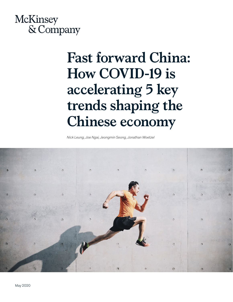

# **Fast forward China: How COVID-19 is accelerating 5 key trends shaping the Chinese economy**

*Nick Leung, Joe Ngai, Jeongmin Seong, Jonathan Woetzel*

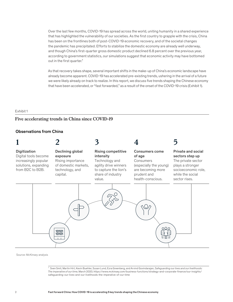Over the last few months, COVID-19 has spread across the world, uniting humanity in a shared experience that has highlighted the vulnerability of our societies. As the first country to grapple with the crisis, China has been on the frontlines both of post-COVID-19 economic recovery, and of the societal changes the pandemic has precipitated. Efforts to stabilize the domestic economy are already well underway, and though China's first-quarter gross domestic product declined 6.8 percent over the previous year, according to government statistics, our simulations suggest that economic activity may have bottomed out in the first quarter.<sup>1</sup>

As that recovery takes shape, several important shifts in the make-up of China's economic landscape have already become apparent. COVID-19 has accelerated pre-existing trends, ushering in the arrival of a future we were likely already on track to realize. In this report, we discuss five trends shaping the Chinese economy that have been accelerated, or "fast forwarded," as a result of the onset of the COVID-19 crisis (Exhibit 1).

#### Exhibit 1  $\pm$ xhibit 1  $\pm$

# **Five accelerating trends in China since COVID-19** Five accelerating trends in China since COVID-19

## Observations from China



Source: McKinsey analysis

<sup>1</sup> Sven Smit, Martin Hirt, Kevin Buehler, Susan Lund, Ezra Greenberg, and Arvind Govindarajan, *Safeguarding our lives and our livelihoods: The imperative of our time*, March 2020, https://www.mckinsey.com/business-functions/strategy-and-corporate-finance/our-insights/ safeguarding-our-lives-and-our-livelihoods-the-imperative-of-our-time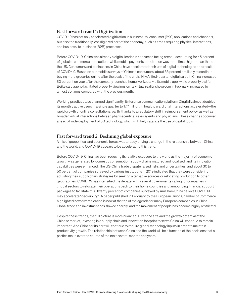# **Fast forward trend 1: Digitization**

COVID-19 has not only accelerated digitization in business-to-consumer (B2C) applications and channels, but also the traditionally less digitized part of the economy, such as areas requiring physical interactions, and business-to-business (B2B) processes.

Before COVID-19, China was already a digital leader in consumer-facing areas—accounting for 45 percent of global e-commerce transactions while mobile payments penetration was three times higher than that of the US. Consumers and businesses in China have accelerated their use of digital technologies as a result of COVID-19. Based on our mobile surveys of Chinese consumers, about 55 percent are likely to continue buying more groceries online after the peak of the crisis. Nike's first-quarter digital sales in China increased 30 percent on year after the company launched home workouts via its mobile app, while property platform Beike said agent-facilitated property viewings on its virtual reality showroom in February increased by almost 35 times compared with the previous month.

Working practices also changed significantly: Enterprise communication platform DingTalk almost doubled its monthly active users in a single quarter to 17.7 million. In healthcare, digital interactions accelerated—the rapid growth of online consultations, partly thanks to a regulatory shift in reimbursement policy, as well as broader virtual interactions between pharmaceutical sales agents and physicians. These changes occurred ahead of wide deployment of 5G technology, which will likely catalyze the use of digital tools.

# **Fast forward trend 2: Declining global exposure**

A mix of geopolitical and economic forces was already driving a change in the relationship between China and the world, and COVID-19 appears to be accelerating this trend.

Before COVID-19, China had been reducing its relative exposure to the world as the majority of economic growth was generated by domestic consumption, supply chains matured and localized, and its innovation capabilities were enhanced. The US-China trade dispute raised risks and uncertainties, and about 30 to 50 percent of companies surveyed by various institutions in 2019 indicated that they were considering adjusting their supply chain strategies by seeking alternative sources or relocating production to other geographies. COVID-19 has intensified the debate, with several governments calling for companies in critical sectors to relocate their operations back to their home countries and announcing financial support packages to facilitate this. Twenty percent of companies surveyed by AmCham China believe COVID-19 may accelerate "decoupling". A paper published in February by the European Union Chamber of Commerce highlighted how diversification is now at the top of the agenda for many European companies in China. Global trade and investment has slowed sharply, and the movement of people has become highly restricted.

Despite these trends, the full picture is more nuanced. Given the size and the growth potential of the Chinese market, investing in a supply chain and innovation footprint to serve China will continue to remain important. And China for its part will continue to require global technology inputs in order to maintain productivity growth. The relationship between China and the world will be a function of the decisions that all parties make over the course of the next several months and years.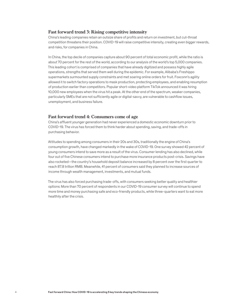## **Fast forward trend 3: Rising competitive intensity**

China's leading companies retain an outsize share of profits and return on investment, but cut-throat competition threatens their position. COVID-19 will raise competitive intensity, creating even bigger rewards, and risks, for companies in China.

In China, the top decile of companies capture about 90 percent of total economic profit, while the ratio is about 70 percent for the rest of the world, according to our analysis of the world's top 5,000 companies. This leading cohort is comprised of companies that have already digitized and possess highly agile operations, strengths that served them well during the epidemic. For example, Alibaba's Freshippo supermarkets surmounted supply constraints and met soaring online orders for fruit. Foxconn's agility allowed it to switch factory operations to mask production, protecting employees, and enabling resumption of production earlier than competitors. Popular short-video platform TikTok announced it was hiring 10,000 new employees when the virus hit a peak. At the other end of the spectrum, weaker companies, particularly SMEs that are not sufficiently agile or digital-savvy, are vulnerable to cashflow issues, unemployment, and business failure.

#### **Fast forward trend 4: Consumers come of age**

China's affluent younger generation had never experienced a domestic economic downturn prior to COVID-19. The virus has forced them to think harder about spending, saving, and trade-offs in purchasing behavior.

Attitudes to spending among consumers in their 20s and 30s, traditionally the engine of China's consumption growth, have changed markedly in the wake of COVID-19. One survey showed 42 percent of young consumers intend to save more as a result of the virus. Consumer lending has also declined, while four out of five Chinese consumers intend to purchase more insurance products post-crisis. Savings have also rocketed—the country's household deposit balance increased by 8 percent over the first quarter to reach 87.8 trillion RMB. Meanwhile, 41 percent of consumers said they planned to increase sources of income through wealth management, investments, and mutual funds.

The virus has also forced purchasing trade-offs, with consumers seeking better quality and healthier options: More than 70 percent of respondents in our COVID-19 consumer survey will continue to spend more time and money purchasing safe and eco-friendly products, while three-quarters want to eat more healthily after the crisis.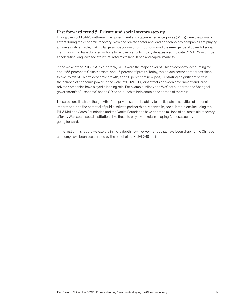## **Fast forward trend 5: Private and social sectors step up**

During the 2003 SARS outbreak, the government and state-owned enterprises (SOEs) were the primary actors during the economic recovery. Now, the private sector and leading technology companies are playing a more significant role, making large socioeconomic contributions amid the emergence of powerful social institutions that have donated millions to recovery efforts. Policy debates also indicate COVID-19 might be accelerating long-awaited structural reforms to land, labor, and capital markets.

In the wake of the 2003 SARS outbreak, SOEs were the major driver of China's economy, accounting for about 55 percent of China's assets, and 45 percent of profits. Today, the private sector contributes close to two-thirds of China's economic growth, and 90 percent of new jobs, illustrating a significant shift in the balance of economic power. In the wake of COVID-19, joint efforts between government and large private companies have played a leading role. For example, Alipay and WeChat supported the Shanghai government's "Suishenma" health QR code launch to help contain the spread of the virus.

These actions illustrate the growth of the private sector, its ability to participate in activities of national importance, and the potential of public-private partnerships. Meanwhile, social institutions including the Bill & Melinda Gates Foundation and the Vanke Foundation have donated millions of dollars to aid recovery efforts. We expect social institutions like these to play a vital role in shaping Chinese society going forward.

In the rest of this report, we explore in more depth how five key trends that have been shaping the Chinese economy have been accelerated by the onset of the COVID-19 crisis.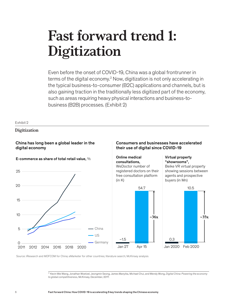# **Fast forward trend 1: Digitization**

Even before the onset of COVID-19, China was a global frontrunner in terms of the digital economy.<sup>2</sup> Now, digitization is not only accelerating in the typical business-to-consumer (B2C) applications and channels, but is also gaining traction in the traditionally less digitized part of the economy, such as areas requiring heavy physical interactions and business-tobusiness (B2B) processes. (Exhibit 2)

#### Exhibit 2

# **Digitization** Digitization

# China has long been a global leader in the digital economy

# E-commerce as share of total retail value, %



# Consumers and businesses have accelerated their use of digital since COVID-19

#### Online medical consultations, WeDoctor number of registered doctors on their free consultation platform  $(in K)$

# Virtual property "showrooms",

Beike VR virtual property showing sessions between agents and prospective buyers (in Mn)



Source: iResearch and MOFCOM for China; eMarketer for other countries; literature search; McKinsey analysis

2 Kevin Wei Wang, Jonathan Woetzel, Jeongmin Seong, James Manyika, Michael Chui, and Wendy Wong, *Digital China: Powering the economy to global competitiveness*, McKinsey, December, 2017.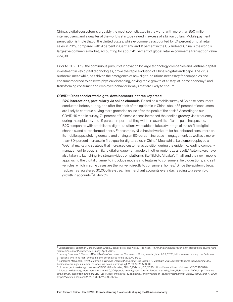China's digital ecosystem is arguably the most sophisticated in the world, with more than 850 million internet users, and a quarter of the world's startups valued in excess of a billion dollars. Mobile payment penetration is triple that of the United States, while e-commerce accounted for 24 percent of total retail sales in 2019, compared with 9 percent in Germany, and 11 percent in the US. Indeed, China is the world's largest e-commerce market, accounting for about 45 percent of global retail e-commerce transaction value in 2018.

Prior to COVID-19, the continuous pursuit of innovation by large technology companies and venture-capital investment in key digital technologies, drove the rapid evolution of China's digital landscape. The virus outbreak, meanwhile, has driven the emergence of new digital solutions necessary for companies and consumers forced to observe physical distancing, driving rapid growth of a "stay-at-home economy", and transforming consumer and employee behavior in ways that are likely to endure.

#### COVID-19 has accelerated digital developments in three key areas:

 $-$  B2C interactions, particularly via online channels. Based on a mobile survey of Chinese consumers conducted before, during, and after the peak of the epidemic in China, about 55 percent of consumers are likely to continue buying more groceries online after the peak of the crisis.3 According to our COVID-19 mobile survey, 74 percent of Chinese citizens increased their online grocery visit frequency during the epidemic, and 15 percent report that they will increase visits after its peak has passed. B2C companies with established digital solutions were able to take advantage of the shift to digital channels, and outperformed peers. For example, Nike hosted workouts for housebound consumers on its mobile apps, stoking demand and driving an 80-percent increase in engagement, as well as a morethan-30-percent increase in first-quarter digital sales in China.<sup>4</sup> Meanwhile, Lululemon deployed a WeChat marketing strategy that increased customer acquisition during the epidemic, leading company management to adopt similar digital engagement models in other regions as a result.5 Automakers have also taken to launching live stream videos on platforms like TikTok, Alibaba's Tmall, and their own mobile apps, using the digital channel to introduce models and features to consumers, field questions, and sell vehicles, which in some cases are then driven directly to consumers' homes.<sup>6</sup> Since the epidemic began, Taobao has registered 30,000 live-streaming merchant accounts every day, leading to a sevenfold growth in accounts.<sup>7</sup> (Exhibit 1)

<sup>3</sup> Julien Boudet, Jonathan Gordon, Brian Gregg, Jesko Perrey, and Kelsey Robinson, *How marketing leaders can both manage the coronavirus crisis and plan for the future*, McKinsey, April, 2020.

<sup>4</sup> Jeremy Bowman, *3 Reasons Why Nike Can Overcome the Coronavirus Crisis*, Nasdaq, March 29, 2020, https://www.nasdaq.com/articles/ 3-reasons-why-nike-can-overcome-the-coronavirus-crisis-2020-03-29.<br><sup>5</sup> Samantha McDonald, *Why Lululemon Is Winning Despite the Coronavirus Crisis*, FN, March 27, 2020, https://footwearnews.com/2020/

business/earnings/lululemon-coronavirus-sales-earnings-q4-2019-1202955393/.<br><sup>6</sup> Hu Yumo, *Automakers go online as COVID-19 hurts sales*, SHINE, February 28, 2020, https://www.shine.cn/biz/auto/2002283070/.

<sup>7</sup> Alibaba: *In February, there were more than 30,000 people opening new stores in Taobao every day*, Sina, February 14, 2020, http://finance. sina.com.cn/stock/relnews/us/2020-02-14/doc-iimxxstf1374236.shtml; *Monthly report of Taobao livestreaming*, ChinaZ.com, March 4, 2020, https://www.chinaz.com/2020/0304/1114695.shtml.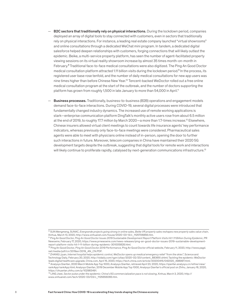- **B2C sectors that traditionally rely on physical interactions.** During the lockdown period, companies deployed an array of digital tools to stay connected with customers, even in sectors that traditionally rely on physical interactions. For instance, a leading real estate company launched "virtual showrooms" and online consultations through a dedicated WeChat mini program. In tandem, a dedicated digital salesforce helped deepen relationships with customers, forging connections that will likely outlast the epidemic. Beike, a multi-service property platform, has seen the number of agent-facilitated property viewing sessions on its virtual reality showroom increase by almost 35 times month-on-month in February.8 Traditional face-to-face medical consultations were also digitized. The Ping An Good Doctor medical consultation platform attracted 1.11 billion visits during the lockdown period.<sup>9</sup> In the process, its registered user base rose tenfold, and the number of daily medical consultations for new app users was nine times higher than before Chinese New Year.<sup>10</sup> Tencent-backed WeDoctor rolled out a free online medical consultation program at the start of the outbreak, and the number of doctors supporting the platform has grown from roughly 1,500 in late January to more than 54,000 in April.<sup>11</sup>
- **Business processes.** Traditionally, business-to-business (B2B) operations and engagement models demand face-to-face interactions. During COVID-19, several digital processes were introduced that fundamentally changed industry dynamics. The increased use of remote working applications is stark—enterprise communication platform DingTalk's monthly active users rose from about 6.5 million at the end of 2019, to roughly 17.7 million by March 2020—a more than 1.7-times increase.<sup>12</sup> Elsewhere, Chinese insurers allowed virtual client meetings to count towards life insurance agents' key performance indicators, whereas previously only face-to-face meetings were considered. Pharmaceutical sales agents were able to meet with physicians online instead of in-person, opening the door to further such interactions in future. Moreover, telecom companies in China have maintained their 2020 5G development targets despite the outbreak, suggesting that digital tools for remote work and interactions will likely continue to proliferate rapidly, catalysed by next-generation communications infrastructure.<sup>13</sup>

<sup>8</sup> SUN Mengmeng, SUNAC, *Evergrande projects going strong in online sales, Beike VR property sales reshapes new property sales value chain*, Xinhua, March 13, 2020, http://www.xinhuanet.com/house/2020-03-13/c\_1125706856.htm.

<sup>9</sup> Ping An Good Doctor, *Ping An Good Doctor Issues 2019 Sustainable Development Report Platform Visits Hit 1.11 Billion During Epidemic*, PR Newswire, February 17, 2020, https://www.prnewswire.com/news-releases/ping-an-good-doctor-issues-2019-sustainable-developmentreport-platform-visits-hit-1-11-billion-during-epidemic-301005828.html.

<sup>10</sup> Ping An Good Doctor, *Ping An Good Doctor 2019 Performance*, Ping An Good Doctor official website, February 11, 2020, http://www.pagd. net/media/pdf/cn/2019an/2019\_AN\_CN.PDF.

<sup>11</sup> ZHANG Lijuan, *Internet hospital helps epidemic control, WeDoctor opens up medical emergency relief "from the skies"*, Science and Technology Daily, February 20, 2020, http://stdaily.com/rgzn/yiliao/2020-02/20/content\_883651.shtml; Tackling the epidemic: WeDoctor leads digital healthcare upgrade, China.com, April 15, 2020, https://tech.china.com/article/20200415/042020\_498997.html.

<sup>12</sup> Analysys Qianfan, 2020 March Mobile App Top 1000, Analysys Qianfan, retrieved April 23, 2020, https://qianfan.analysys.cn/refine/view/ rankApp/rankApp.html; Analysys Qianfan, 2019 December Mobile App Top 1000, Analysys Qianfan's official post on Zhihu, January 16, 2020, https://zhuanlan.zhihu.com/p/102983491.

<sup>&</sup>lt;sup>13</sup> LING Jiwei, Sector pulse under the epidemic: China's 5G commercialization pace is not slowing, Xinhua, March 3, 2020, http:// www.xinhuanet.com/tech/2020-03/03/c\_1125656066.htm.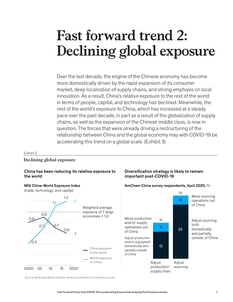# **Fast forward trend 2: Declining global exposure**

Over the last decade, the engine of the Chinese economy has become more domestically driven by the rapid expansion of its consumer market, deep localization of supply chains, and strong emphasis on local innovation. As a result, China's relative exposure to the rest of the world in terms of people, capital, and technology has declined. Meanwhile, the rest of the world's exposure to China, which has increased at a steady pace over the past decade, in part as a result of the globalization of supply chains, as well as the expansion of the Chinese middle class, is now in question. The forces that were already driving a restructuring of the relationship between China and the global economy may with COVID-19 be accelerating this trend on a global scale. (Exhibit 3)

#### Exhibit 3

# **Declining global exposure** Declining global exposure

# China has been reducing its relative exposure to the world



# Diversification strategy is likely to remain important post-COVID-19



MGI China-World Exposure Index  $\blacksquare$  AmCham China survey respondents, April 2020,  $\%$ 

Source: McKinsey Global Institute; American Chamber of Commerce survey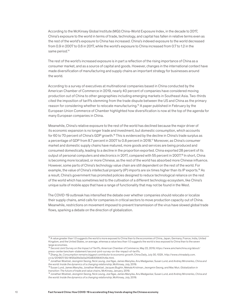According to the McKinsey Global Institute (MGI) China-World Exposure Index, in the decade to 2017, China's exposure to the world in terms of trade, technology, and capital has fallen in relative terms even as the rest of the world's exposure to China has increased. China's indexed exposure to the world decreased from 0.9 in 2007 to 0.6 in 2017, while the world's exposure to China increased from 0.7 to 1.2 in the same period.<sup>14</sup>

The rest of the world's increased exposure is in part a reflection of the rising importance of China as a consumer market, and as a source of capital and goods. However, changes in the international context have made diversification of manufacturing and supply chains an important strategy for businesses around the world.

According to a survey of executives at multinational companies based in China conducted by the American Chamber of Commerce in 2019, nearly 40 percent of companies have considered moving production out of China to other geographies including emerging markets in Southeast Asia. Two-thirds cited the imposition of tariffs stemming from the trade dispute between the US and China as the primary reason for considering whether to relocate manufacturing.15 A paper published in February by the European Union Commerce of Chamber highlighted how diversification is now at the top of the agenda for many European companies in China.

Meanwhile, China's relative exposure to the rest of the world has declined because the major driver of its economic expansion is no longer trade and investment, but domestic consumption, which accounts for 60 to 70 percent of China's GDP growth.<sup>16</sup> This is evidenced by the decline in China's trade surplus as a percentage of GDP from 8.7 percent in 2007 to 0.8 percent in 2018.17 Moreover, as China's consumer market and domestic supply chains have matured, more goods and services are being produced and consumed domestically, leading to a decline in the proportion exported. China exported 28 percent of its output of personal computers and electronics in 2017, compared with 55 percent in 2007.<sup>18</sup> In short, China is becoming more localized, or more Chinese, as the rest of the world has absorbed more Chinese influence. However, some parts of China's technology value chain are still dependent on the rest of the world. For example, the value of China's intellectual property (IP) imports are six times higher than its IP exports.19 As a result, China's government has promoted policies designed to reduce technological reliance on the rest of the world which has sometimes led to the cultivation of a different technology ecosystem, like China's unique suite of mobile apps that have a range of functionality that may not be found in the West.

The COVID-19 outbreak has intensified the debate over whether companies should relocate or localize their supply chains, amid calls for companies in critical sectors to move production capacity out of China. Meanwhile, restrictions on movement imposed to prevent transmission of the virus have slowed global trade flows, sparking a debate on the direction of globalization.

<sup>14</sup> A value greater than 1.0 suggests the world is more exposed to China than to the economies of China, Japan, Germany, France, India, United Kingdom, and the United States, on average, whereas a value less than 1.0 suggests the world is less exposed to China than to the seven large economies.

<sup>15</sup> *Second Joint Survey on the Impact of Tariffs*, American Chamber of Commerce, May 22, 2019, https://www.amchamchina.org/about/ press-center/amcham-statement/second-joint-survey-on-the-impact-of-tariffs.<br><sup>16</sup> Zhang Jie, *Consumption remains biggest contributor to economic growth*, China Daily, July 30, 1029 , http://www.chinadaily.com.

cn/a/201907/30/WS5d3fe0e0a310d83056401c6e.html.

<sup>17</sup> Jonathan Woetzel, Jeongmin Seong, Nick Leung, Joe Ngai, James Manyika, Anu Madgavkar, Susan Lund, and Andrey Mironenko, *China and* 

*the world: Inside the dynamics of a changing relationship*, McKinsey, July, 2019. 18 Susan Lund, James Manyika, Jonathan Woetzel, Jacques Bughin, Mekala Krishnan, Jeongmin Seong, and Mac Muir, *Globalization in transition: The future of trade and value chains*, McKinsey, January, 2019.

<sup>19</sup> Jonathan Woetzel, Jeongmin Seong, Nick Leung, Joe Ngai, James Manyika, Anu Madgavkar, Susan Lund, and Andrey Mironenko, *China and the world: Inside the dynamics of a changing relationship*, McKinsey, July, 2019.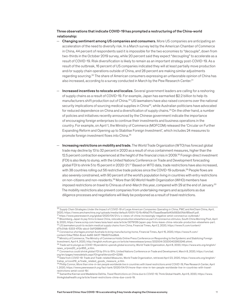#### Three observations that indicate COVID-19 has prompted a restructuring of the China-world relationship:

- $-$  Changing sentiment among US companies and consumers. More US companies are anticipating an acceleration of the need to diversify risk. In a March survey led by the American Chamber of Commerce in China, 44 percent of respondents said it is impossible for the two economies to "decouple", down from two-thirds in the October 2019 survey, while 20 percent said they expect "decoupling" to accelerate as a result of COVID-19. Risk diversification is likely to remain as an important strategy post-COVID-19. As a result of the outbreak, 16 percent of US companies indicated they will at least partially move production and/or supply chain operations outside of China, and 28 percent are making similar adjustments regarding sourcing.20 The share of American consumers expressing an unfavorable opinion of China has also increased, according to a survey conducted in March by the Pew Research Center.21
- Increased incentives to relocate and localize. Several government leaders are calling for a reshoring of supply chains as a result of COVID-19. For example, Japan has earmarked \$2.2 billion to help its manufacturers shift production out of China.22 US lawmakers have also raised concerns over the national security implications of sourcing medical supplies in China<sup>23</sup>, while Australian politicians have advocated for reduced dependence on China and a diversification of supply chains.<sup>24</sup> On the other hand, a number of policies and initiatives recently announced by the Chinese government indicate the importance of encouraging foreign enterprises to continue their investments and business operations in the country. For example, on April 1, the Ministry of Commerce (MOFCOM) released the 'Circular on Further Expanding Reform and Opening up to Stabilise Foreign Investment', which includes 24 measures to promote foreign investment flows into China.25
- Increasing restrictions on mobility and trade. The World Trade Organization (WTO) has forecast global trade may decline by 13 to 32 percent in 2020 as a result of virus containment measures, higher than the 12.5 percent contraction experienced at the height of the financial crisis in 2009.<sup>26</sup> Foreign direct investment (FDI) is also likely to slump, with the United Nations Conference on Trade and Development forecasting global FDI to shrink 5 to 15 percent in 2020-21.27 Based on WTO data, trade restrictions have also increased, with 38 countries rolling out 56 restrictive trade policies since the COVID-19 outbreak.<sup>28</sup> People flows are also severely constrained, with 90 percent of the world's population living in countries with entry restrictions on non-citizens and non-residents.29 More than 90 World Health Organization (WHO) members have imposed restrictions on travel to China as of end-March this year, compared with 29 at the end of January.30 The mobility restrictions also prevent companies from undertaking mergers and acquisitions as due diligence processes and negotiations will likely be postponed as a result of travel restrictions.

<sup>20</sup> *Supply Chain Strategies Under the Impact of COVID-19 of Large American Companies Operating in China*, PWC and AmCham China, April, 2020, https://www.amchamchina.org/uploads/media/default/0001/12/6c49fa07fc17aaad5eae5d40b592b0fbb185ea1f.pdf.

<sup>21</sup> https://www.pewresearch.org/global/2020/04/21/u-s-views-of-china-increasingly-negative-amid-coronavirus-outbreak/

<sup>22</sup> Bloomberg, *Japan to pay firms to leave China, relocate production elsewhere as part of coronavirus stimulus*, South China Morning Post, April 9, 2020, https://www.scmp.com/news/asia/east-asia/article/3079126/japan-pay-firms-leave-china-relocate-production-elsewhere-part.<br><sup>23</sup> US lawmakers push to reclaim medical supply chains from China, Financial Times, April 2

<sup>&</sup>lt;sup>24</sup> Coronavirus shortages prompt Australia to bring manufacturing home, Financial Times, April 15, 2020, https://www.ft.com/

content/04ac783d-8ced-4e66-9437-78b607cbd8d4.<br><sup>25</sup> Ministry of Commerce, The Ministry of Commerce Holds Online Press Conference on Responding to the Epidemic and Stabilizing Foreign Investment, April 4, 2020, http://english.mofcom.gov.cn/article/newsrelease/press/202004/20200402953246.shtml.

<sup>26</sup> *Trade set to plunge as COVID-19 pandemic upends global economy*, World Trade Organization, April 8, 2020, https://www.wto.org/english/ news\_e/pres20\_e/pr855\_e.htm.<br><sup>27</sup> Coronavirus could shrink global FDI by 5% to 15%, United Nations Conference on Trade and Development, March 8, 2020, https://unctad.

org/en/pages/newsdetails.aspx?OriginalVersionID=2299.<br><sup>28</sup> Data from *COVID-19: Trade and Trade-related Measures*, World Trade Organization, retrieved April 23, 2020, https://www.wto.org/english/

tratop\_e/covid19\_e/trade\_related\_goods\_measure\_e.htm.

<sup>29</sup> Phillip Connor, *More than nine-in-ten people worldwide live in countries with travel restrictions amid COVID-19*, Pew Research Center, April 1, 2020, https://www.pewresearch.org/fact-tank/2020/04/01/more-than-nine-in-ten-people-worldwide-live-in-countries-with-travelrestrictions-amid-covid-19/.<br><sup>30</sup> Samantha Kiernan and Madeleine DeVita, *Travel Restrictions on China due to COVID-19*, Think Global Health, April 6, 2020, https://www.

thinkglobalhealth.org/article/travel-restrictions-china-due-covid-19.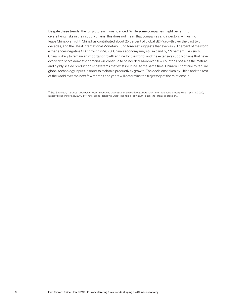Despite these trends, the full picture is more nuanced. While some companies might benefit from diversifying risks in their supply chains, this does not mean that companies and investors will rush to leave China overnight. China has contributed about 25 percent of global GDP growth over the past two decades, and the latest International Monetary Fund forecast suggests that even as 90 percent of the world experiences negative GDP growth in 2020, China's economy may still expand by 1.2 percent.<sup>31</sup> As such, China is likely to remain an important growth engine for the world, and the extensive supply chains that have evolved to serve domestic demand will continue to be needed. Moreover, few countries possess the mature and highly scaled production ecosystems that exist in China. At the same time, China will continue to require global technology inputs in order to maintain productivity growth. The decisions taken by China and the rest of the world over the next few months and years will determine the trajectory of the relationship.

31 Gita Gopinath, *The Great Lockdown: Worst Economic Downturn Since the Great Depression*, International Monetary Fund, April 14, 2020, https://blogs.imf.org/2020/04/14/the-great-lockdown-worst-economic-downturn-since-the-great-depression/.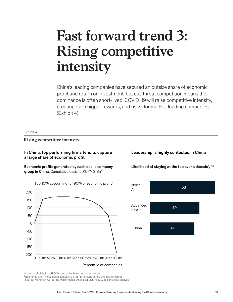# **Fast forward trend 3: Rising competitive intensity**

China's leading companies have secured an outsize share of economic profit and return on investment, but cut-throat competition means their dominance is often short-lived. COVID-19 will raise competitive intensity, creating even bigger rewards, and risks, for market-leading companies. (Exhibit 4)

#### Exhibit 4

**Rising competitive intensity** Rising competitive intensity

# In China, top performing firms tend to capture a large share of economic profit

Economic profits generated by each decile company group in China, Cumulative basis, 2015-17  $$Bn<sup>1</sup>$ 





<sup>1</sup> Analysis of global top 5,000 companies based on revenue size

<sup>2</sup> Economic profit measures a company's profit after subtracting the cost of capital

Source: McKinsey Corporate Performance Analytics; McKinsey Global Institute analysis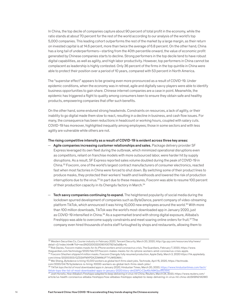In China, the top decile of companies capture about 90 percent of total profit in the economy, while the ratio stands at about 70 percent for the rest of the world according to our analysis of the world's top 5,000 companies. This leading cohort outperforms the rest of the market by a large margin, as their return on invested capital is at 14.6 percent, more than twice the average of 6.8 percent. On the other hand, China has a long tail of underperformers—starting from the 40th percentile onward, the value of economic profit generated by Chinese companies starts to decline. Strong performers in the top decile tend to have robust digital capabilities, as well as agility, and high labor productivity. However, top performers in China cannot be complacent as leadership is highly contested. Only 36 percent of the firms in the top quintile in China were able to protect their position over a period of 10 years, compared with 53 percent in North America.

The "superstar effect" appears to be growing even more pronounced as a result of COVID-19. Under epidemic conditions, when the economy was in retreat, agile and digitally savvy players were able to identify business opportunities to gain share. Chinese internet companies are a case in point. Meanwhile, the epidemic has triggered a flight to quality among consumers keen to ensure they obtain safe and healthy products, empowering companies that offer such benefits.

On the other hand, some endured strong headwinds. Constraints on resources, a lack of agility, or their inability to go digital made them slow to react, resulting in a decline in business, and cash flow issues. For many, the consequence has been reductions in headcount or working hours, coupled with salary cuts. COVID-19 has moreover, highlighted inequality among employees; those in some sectors and with less agility are vulnerable while others are not.

#### The rising competitive intensity as a result of COVID-19 is evident across three key areas:

- $-$  Agile companies increasing customer relationships and sales. Package delivery provider SF Express leveraged its own fleet during the outbreak, which minimized operational disruptions even as competitors, reliant on franchise models with more outsourced labor, were harder hit by supply disruptions. As a result, SF Express reported sales volume doubled during the peak of COVID-19 in China.32 Foxconn, one of the world's largest contract manufacturers of consumer electronics, reacted fast when most factories in China were forced to shut down. By switching some of their product lines to produce masks, they protected their workers' health and livelihoods and lowered the risk of production interruptions due to the virus.<sup>33</sup> In part due to these measures, Foxconn was able to resume 100 percent of their production capacity in its Chengdu factory in March.<sup>34</sup>
- $-$  Tech savvy companies continuing to expand. The heightened popularity of social media during the lockdown spurred development of companies such as ByteDance, parent company of video-streaming platform TikTok, which announced it was hiring 10,000 new employees around the world.<sup>35</sup> With more than 100 million downloads, TikTok was the world's most-downloaded app in January 2020, just as COVID-19 intensified in China.<sup>36</sup> As a supermarket brand with strong digital exposure, Alibaba's Freshippo was able to overcome supply constraints and meet soaring online orders for fruit.<sup>37</sup>The company even hired thousands of extra staff furloughed by shops and restaurants, allowing them to

33 Rob Davies, *Foxconn makes masks for its iPhone workers amid coronavirus crisis*, The Guardians, February 7, 2020, https://www. theguardian.com/technology/2020/feb/07/foxconn-makes-masks-for-its-iphone-workers-amid-coronavirus-crisis-apple. <sup>34</sup> *Foxconn Shezhen shipped 4 million masks*. Foxconn Chengdu fully resumed production, Apple Daily, March 3, 2020 https://hk.appledaily.

tiktok-tops-the-list-of-most-downloaded-apps-in-january-2020/story-dm23tPCrC2eA5cN9KSzzXN.htm

<sup>32</sup> Western Securities Co, *Courier industry in February 2020*, Tencent Security, March 20, 2020, http://gu.qq.com/resources/shy/news/ detail-v2/index.html#/?id=nesSN202003200901007921a0a9&s=b.

com/china/20200303/QZSSAFMXPDXZOM4MJFTYUW5DMA/. 35 Wei Sheng, *Bytedance is hiring 10,000 workers as global tech firms slash jobs*, Technode, April 15, 2020, https://technode.

com/2020/04/15/bytedance-is-hiring-10000-workers-as-global-tech-firms-slash-jobs/.<br><sup>36</sup> TikTok tops the list of most downloaded apps in January 2020, Hindustan Times, March 20, 2020, https://www.hindustantimes.com/tech/

<sup>37</sup> Josh Horwitz, *How Alibaba's Freshippo adapted to keep delivering in virus-hit China*, Reuters, March 24, 2020, https://www.reuters.com/ article/us-health-coronavirus-alibaba-freshippo/how-alibabas-freshippo-adapted-to-keep-delivering-in-virus-hit-china-idUSKBN21A0W0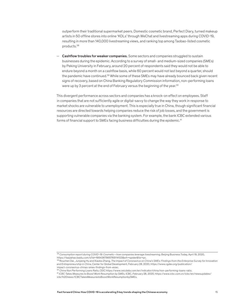outperform their traditional supermarket peers. Domestic cosmetic brand, Perfect Diary, turned makeup artists in 50 offline stores into online 'KOLs' through WeChat and livestreaming apps during COVID-19, resulting in more than 140,000 livestreaming views, and ranking top among Taobao-listed cosmetic products.38

**Cashflow troubles for weaker companies.** Some sectors and companies struggled to sustain businesses during the epidemic. According to a survey of small- and medium-sized companies (SMEs) by Peking University in February, around 20 percent of respondents said they would not be able to endure beyond a month on a cashflow basis, while 60 percent would not last beyond a quarter, should the pandemic have continued.<sup>39</sup> While some of these SMEs may have already bounced back given recent signs of recovery, based on China Banking Regulatory Commission information, non-performing loans were up by 3 percent at the end of February versus the beginning of the year.<sup>40</sup>

This divergent performance across sectors and companies has a knock-on effect on employees. Staff in companies that are not sufficiently agile or digital-savvy to change the way they work in response to market shocks are vulnerable to unemployment. This is especially true in China, though significant financial resources are directed towards helping companies reduce the risk of job losses, and the government is supporting vulnerable companies via the banking system. For example, the bank ICBC extended various forms of financial support to SMEs facing business difficulties during the epidemic.<sup>41</sup>

<sup>38</sup> *Consumption report during COVID-19: Cosmetic—how companies leverage livestreaming*, Beijing Business Today, April 19, 2020, https://baijiahao.baidu.com/s?id=1664367865765114123&wfr=spider&for=pc.

<sup>39</sup> Rouchen Dai , Junpeng Hu and Xiaobo Zhang, *The Impact of Coronavirus on China's SMEs: Findings from the Enterprise Survey for Innovation and Entrepreneurship in China*, Center for Global Development, February 28, 2020, https://www.cgdev.org/publication/ impact-coronavirus-chinas-smes-findings-from-esiec.

<sup>40</sup> *China Non Performing Loans Ratio*, CEIC https://www.ceicdata.com/en/indicator/china/non-performing-loans-ratio.

<sup>41</sup> *ICBC Takes Measures to Boost Work Resumption by SMEs*, ICBC, February 28, 2020, https://www.icbc.com.cn/icbc/en/newsupdates/ icbc%20news/ICBCTakesMeasurestoBoostWorkResumptionbySMEs.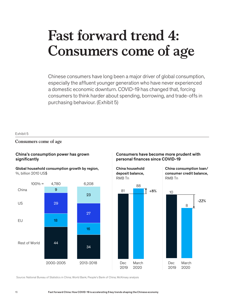# **Consumers come of age**

**Fast forward trend 4:** 

Chinese consumers have long been a major driver of global consumption, especially the affluent younger generation who have never experienced a domestic economic downturn. COVID-19 has changed that, forcing consumers to think harder about spending, borrowing, and trade-offs in purchasing behaviour. (Exhibit 5)

#### Exhibit 5

# **Consumers come of age** Consumers come of age

# China's consumption power has grown significantly

Global household consumption growth by region, %, billion 2010 US\$



# Consumers have become more prudent with personal finances since COVID-19

China household deposit balance, RMB Tn



China consumption loan/ consumer credit balance, RMB Tn



Source: National Bureau of Statistics in China; World Bank; People's Bank of China; McKinsey analysis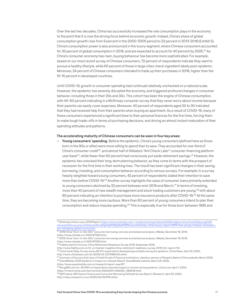Over the last two decades, China has successfully increased the role consumption plays in the economy to the point that it is now the driving force behind economic growth. Indeed, China's share of global consumption growth rose from 9 percent in the 2000-2005 period to 23 percent in 2013-2018 (Exhibit 5). China's consumption power is also pronounced in the luxury segment, where Chinese consumers accounted for 32 percent of global consumption in 2018, and are expected to account for 40 percent by 2025.42 As China's consumer economy has risen, buying behaviour has become more sophisticated. For example, based on our most recent survey of Chinese consumers, 72 percent of respondents indicate they want to pursue a healthy lifestyle, while 60 percent of those in large cities check ingredient labels post-epidemic. Moreover, 24 percent of Chinese consumers intended to trade up their purchases in 2018, higher than the 10-15 percent in developed countries.

Until COVID-19, growth in consumer spending had continued relatively unchecked on a national scale. However, the epidemic has severely disrupted the economy, and triggered profound changes in consumer behavior, including those in their 20s and 30s. This cohort has been the engine of Chinese consumption, with 40-50 percent indicating in a McKinsey consumer survey that they never worry about income because their parents can easily cover expenses. Moreover, 40 percent of respondents aged 20 to 30 indicated that they had received help from their parents when buying an apartment. As a result of COVID-19, many of these consumers experienced a significant blow to their personal finances for the first time, forcing them to make tough trade-offs in terms of purchasing decisions, and driving an almost instant maturation of their spending attitudes and patterns.

#### The accelerating maturity of Chinese consumers can be seen in four key areas:

 $-$  Young consumers' spending. Before the epidemic, China's young consumers (defined here as those born in the 90s or after) were more willing to spend than to save. They accounted for one-third of China's consumer credit<sup>43</sup>, and almost half of Alibaba's "Ant Check Later" consumer financing platform user base<sup>44</sup>, while fewer than 50 percent had consciously put aside retirement savings.<sup>45</sup> However, the epidemic has unlocked their long-term planning behavior, as they come to terms with the prospect of recession for the first time in their working lives. The result has been significant changes in their saving, borrowing, investing, and consumption behavior according to various surveys. For example: In a survey heavily weighted toward young consumers, 42 percent of respondents stated their intention to save more than before COVID-19.46 Another survey highlights the value of consumer loans primarily extended to young consumers declined by 22 percent between end-2019 and March.<sup>47</sup> In terms of investing, more than 40 percent of new wealth management and stock trading customers are young,<sup>48</sup> with about 80 percent indicating an intention to purchase more insurance products after COVID-19.<sup>49</sup> At the same time, they are becoming more cautious. More than 60 percent of young consumers intend to plan their consumption and reduce impulse spending.50 This is especially true for those born between 1995 and

<sup>42</sup> *McKinsey China Luxury 2019 Report,* https://www.mckinsey.com/~/media/mckinsey/featured%20insights/china/how%20young%20 chinese%20consumers%20are%20reshaping%20global%20luxury/mckinsey-china-luxury-report-2019-how-young-chinese are-reshaping-global-luxury.ashx.

<sup>43</sup> *2019 China "born-in-the-90s" consumer borrowing overview and behavioral analysi*s, iiMedia, December 18, 2019, https://www.iimedia.cn/c1020/67253.html.

<sup>44</sup> *2019 China "born-in-the-90s" consumer borrowing overview and behavioral analysi*s, iiMedia, December 18, 2019, https://www.iimedia.cn/c1020/67253.html.

<sup>45</sup> Fidelity and Ant Fortune, *China Retirement Readiness Survey 2019*, September 2019,

http://www.fidelity.com.cn/zh-cn/market-insights/china-retirement-readiness-survey-2019-full-report/10/.

<sup>46</sup> China Youth Daily, *Survey shows 66.5% respondents developed good habits during the epidemic*, China News, April 23, 2020,

http://www.chinanews.com/sh/2020/04-23/9165443.shtml.

<sup>47</sup> *Summary of Sources And Uses of Credit Funds of Financial Institutions*, statistics session of People's Bank of China website, March 2020. 48 QuestMobile, *2020 Epidemic's Impact on Lifestyle Report*, QuestMobile website, March 25, 2020,

https://www.questmobile.com.cn/research/report-new/87.

<sup>49</sup> Rong360.com Inc, *55.99% of respondents reported impact on income during epidemic*, China.com, April 1, 2020,

https://m.tech.china.com/tech/article/20200401/042020\_490646.html.

<sup>50 58</sup> Finance, *58 Finance Finance and Consumer Borrowing Attitude Survey Report*, iResearch, April 23, 2020,

http://news.iresearch.cn/yx/2020/04/321476.shtml.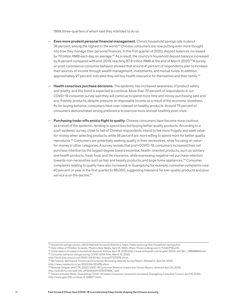1999, three-quarters of whom said they intended to do so.

- Even more prudent personal financial management. China's household savings rate is about 36 percent, among the highest in the world.<sup>51</sup> Chinese consumers are now putting even more thought into how they manage their personal finances. In the first quarter of 2020, deposit balances increased by 70 billion RMB each day, on average.<sup>52</sup> As a result, the country's household deposit balance increased by 8 percent compared with end-2019, reaching 87.8 trillion RMB at the end of March 2020.<sup>53</sup>A survey on post-coronavirus consumer behavior showed that around 41 percent of respondents plan to increase their sources of income through wealth management, investments, and mutual funds. In addition, approximately 27 percent indicated they will buy health insurance for themselves and their family.<sup>54</sup>
- Health conscious purchase decisions. The epidemic has increased awareness of product safety and quality, and this trend is expected to continue. More than 70 percent of respondents in our COVID-19 consumer survey said they will continue to spend more time and money purchasing safe and eco-friendly products, despite pressure on disposable income as a result of the economic slowdown. As for buying behavior, consumers have over-indexed on healthy products. Around 75 percent of consumers demonstrated strong preference to exercise more and eat healthily post crisis.
- Purchasing trade-offs amid a flight to quality: Chinese consumers have become more cautious as a result of the epidemic, tending to spend less but buying better quality products. According to a post-epidemic survey, close to half of Chinese respondents intend to live more frugally and seek valuefor-money when selecting products, while 36 percent are more willing to spend more for better quality mproducts.55 Consumers are potentially seeking quality in their necessities, while focusing on valuefor-money in other categories. A survey reveals that post-COVID-19, consumers increased their net purchase intention by the largest degree toward essential, health-oriented products, such as sanitary and health products, fresh food, and life insurance, while expressing negative net purchase intention towards non-necessities such as hair and beauty products, and large home appliances.<sup>56</sup> Consumer complaints relating to quality have also increased. In Guangdong for example, consumer complaints rose 40 percent on year in the first quarter to 98,000, suggesting tolerance for low-quality products and poor service is on the decline.<sup>57</sup>

<sup>51</sup> *Household savings section*, OECD National Accounts Statistics, https://data.oecd.org/hha/household-savings.htm.

<sup>52</sup> *Daily inflow of 70 billion to banks*, Phoenix New Media, April 15, 2020, https://finance.ifeng.com/c/7vhACPWszOC.

<sup>53</sup> *China reports increase in household deposits*, Xinhua, April 18, 2020 http://www.xinhuanet.com/english/2020-04/18/c\_138988659.htm. <sup>54</sup> *Consumer behavior change during COVID-2019*, Sina, March 10, 2020,

http://tech.sina.com.cn/roll/2020-03-10/doc-iimxxstf7737378.shtml.

<sup>55 58</sup> Finance, *58 Finance Finance and Consumer Borrowing Attitude Survey Report*, iResearch, April 23, 2020,

http://news.iresearch.cn/yx/2020/04/321476.shtml.

<sup>56</sup> Netease Dingwei and CTR, *2020 COVID-19 Consumer Behavior Impact and Trends Repor*t, retrieved April 23, 2020, http://pdf.dfcfw.com/pdf/H3\_AP202003111376137659\_1.pdf.

<sup>57</sup> China Consumer News, *Guangdong COVID-19 related consumer complaints increased*, Guangdong Consumer Council, April 16, 2020,

http://www.gdcc315.cn/show-9-52867-1.html.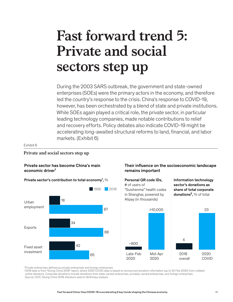# **Fast forward trend 5: Private and social sectors step up**

During the 2003 SARS outbreak, the government and state-owned enterprises (SOEs) were the primary actors in the economy, and therefore led the country's response to the crisis. China's response to COVID-19, however, has been orchestrated by a blend of state and private institutions. While SOEs again played a critical role, the private sector, in particular leading technology companies, made notable contributions to relief and recovery efforts. Policy debates also indicate COVID-19 might be accelerating long-awaited structural reforms to land, financial, and labor markets. (Exhibit 6)

Exhibit 6

**Private and social sectors step up** Private and social sectors step up

# Private sector has become China's main economic driver<sup>1</sup>



# Their influence on the socioeconomic landscape remains important



<sup>1</sup> Private enterprises defined as private enterprises and foreign enterprises

2 2018 data is from "Giving China 2018" report, where 2020 COVID data is based on announced donation information (up to 24 Feb 2020) from collated online literature. Corporate donations include donations from state-owned enterprises, privately-owned enterprises, and foreign enterprises Source: CEIC; Giving China 2018; literature search; McKinsey analysis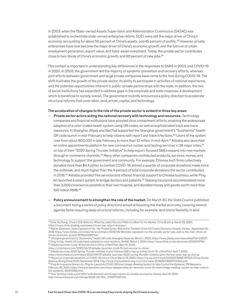In 2003, when the State-owned Assets Supervision and Administration Commission (SASAC) was established to orchestrate state-owned enterprise reform, SOEs were still the major driver of China's economy, accounting for about 55 percent of China's assets, and 45 percent of profits.<sup>58</sup> However, private enterprises have now become the major driver of China's economic growth, and the fulcrum of urban employment generation, export value, and fixed-asset investment. Today, the private sector contributes close to two-thirds of China's economic growth, and 90 percent of new jobs.<sup>59</sup>

This context is important in understanding key differences in the responses to SARS in 2003, and COVID-19 in 2020. In 2003, the government led the majority of epidemic prevention and recovery efforts, whereas joint efforts between government and large private companies have come to the fore during COVID-19. The shift illustrates the growth of the private sector, its ability to participate in activities of national importance, and the potential opportunities inherent in public-private partnerships with the state. In addition, the role of social institutions has expanded to address gaps in the corporate and state response, a development which is beneficial to society overall. The government recently announced a policy direction to accelerate structural reforms that cover labor, land, prices, capital, and technology.

#### The acceleration of changes to the role of the private sector is evident in three key areas:

- Private sector actors aiding the national recovery with technology and resources. Technology companies and financial institutions have assisted virus containment efforts, enabling the widespread adoption of a color-coded health system using QR codes, as well as sophisticated track and trace measures. In Shanghai, Alipay and WeChat supported the Shanghai government's "Suishenma" health QR code launch in mid-February to help citizens self-report and trace infections.<sup>60</sup> Users of the system rose from about 800,000 in late February to more than 10 million in mid-April.<sup>61</sup> Alibaba also launched an online appointments platform for new coronavirus nucleic acid testing services in 38 major cities,  $62$ on top of their "2020 Spring Thunder Initiative" to help export-focused SMEs expand into new markets through e-commerce channels.<sup>63</sup> Many other companies contributed products, services, money, and technology to support the government and community. For example, Chinese tech firms collectively donated more than \$4.4 billion to combat COVID-19, almost a quarter of corporate donations made since the outbreak, and much higher than the 4 percent of total corporate donations the sector contributed in 2018.64 Alibaba provided free services and offered financial support to Chinese business, while Ping An launched a smart system to bridge doctors and patients.<sup>65</sup> Taikang Insurance accommodated more than 2,000 coronavirus patients in their own hospital, and donated money and goods worth more than 100 million RMB.66
- $-$  Policy announcement to strengthen the role of the market. On March 30, the State Council published a document listing a series of policy directions aimed at boosting the market economy, covering several agenda items requiring deep structural reforms, including for example: land (more flexibility in land

<sup>58</sup> Zoey Ye Zhang, *China's SOE Reforms: What the Latest Round of Reforms Mean for the Market*, China Briefing, March 29, 2020, https://www.china-briefing.com/news/chinas-soe-reform-process/.

<sup>59</sup> Rainer Zitelmann, *State Capitalism? No, The Private Sector Was And Is The Main Driver Of China's Economic Growth*, Forbes , September 30, 2019, https://www.forbes.com/sites/rainerzitelmann/2019/09/30/state-capitalism-no-the-private-sector-was-and-is-the-main-driver-ofchinas-economic-growth/#760e03f827cb/ .

<sup>60</sup> *Shanghai government's "Suishenma" health QR code*, Shanghai Observer, March 1, 2020, https://www.jfdaily.com/news/detail?id=218227. 61 Ding Yining, *Health QR code made available to more residents*, SHINE, March 1, 2020, https://www.shine.cn/biz/economy/2003013178/. <sup>62</sup> *Alibaba launches Covid-19 test service in China*, cnTechPost, April 21, 2020,

https://cntechpost.com/2020/04/21/alibaba-launches-covid-19-test-service-in-china/. 63 *Alibaba launches 2020 Spring Thunder Initiative to give Chinese SMEs a leg up during Covid-19*, cnTechPost, April 7, 2020,

https://www.thedrum.com/news/2020/04/07/alibaba-launches-2020-spring-thunder-initiative-give-chinese-smes-leg-up-during.<br><sup>64</sup> Report on corporate donations on COVID-19 crisis in China, March 10, 2020, https://xw.qq.com/cms Alliance, Giving China 2020, September 2019, http://www.charityalliance.org.cn/u/cms/www/201909/23083734i5wb.pdf.

<sup>65</sup> Ping An Insurance Group Ltd., *Ping An Launches COVID-19 Smart Image-Reading System to Help Control the Epidemic*, PR Newswire, February 28, 2020, https://www.prnewswire.com/news-releases/ping-an-launches-covid-19-smart-image-reading-system-to-help-controlthe-epidemic-301013282.html.<br><sup>66</sup> How Tai Kang made a joint effort with domestic and foreign experts to combat coronavirus, Xinhua, April 19, 2020,

http://www.xinhuanet.com/money/2020-04/19/c\_1125877007.htm.